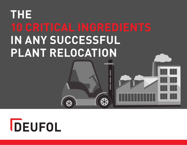# **THE IN ANY SUCCESSFUL PLANT RELOCATION**

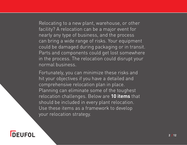Relocating to a new plant, warehouse, or other facility? A relocation can be a major event for nearly any type of business, and the process can bring a wide range of risks. Your equipment could be damaged during packaging or in transit. Parts and components could get lost somewhere in the process. The relocation could disrupt your normal business.

Fortunately, you can minimize these risks and hit your objectives if you have a detailed and comprehensive relocation plan in place. Planning can eliminate some of the toughest relocation challenges. Below are **10 items** that should be included in every plant relocation. Use these items as a framework to develop your relocation strategy.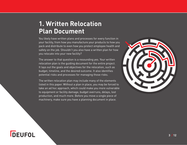#### **1. Written Relocation Plan Document**

You likely have written plans and processes for every function in your facility, from how you manufacture your products to how you pack and distribute to even how you protect employee health and safety on the job. Shouldn't you also have a written plan for how you relocate into your new facility?

The answer to that question is a resounding yes. Your written relocation plan is the guiding document for the entire project. It lays out the goals and objectives for the relocation, such as budget, timeline, and the desired outcome. It also identifies potential risks and processes for managing those risks.

The written relocation plan may include many of the elements listed in this paper. Without a plan in place, you may be forced to take an ad hoc approach, which could make you more vulnerable to equipment or facility damage, budget overruns, delays, lost production, and much more. Before you move a single piece of machinery, make sure you have a planning document in place.

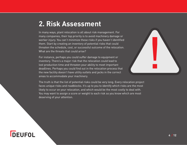#### **2. Risk Assessment**

In many ways, plant relocation is all about risk management. For many companies, their top priority is to avoid machinery damage or worker injury. You can't minimize these risks if you haven't identified them. Start by creating an inventory of potential risks that could threaten the schedule, cost, or successful outcome of the relocation. What are the threats that could arise?

For instance, perhaps you could suffer damage to equipment or inventory. There's a major risk that the relocation could lead to lost production time and threaten your ability to meet important deadlines. Perhaps you could find out in the relocation process that the new facility doesn't have utility outlets and jacks in the correct areas to accommodate your machinery.



The truth is that the list of potential risks could be very long. Every relocation project faces unique risks and roadblocks. It's up to you to identify which risks are the most likely to occur on your relocation, and which would be the most costly to deal with. You may want to assign a score or weight to each risk so you know which are most deserving of your attention.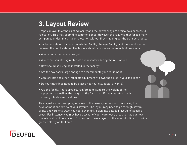#### **3. Layout Review**

Graphical layouts of the existing facility and the new facility are critical to a successful relocation. This may seem like common sense. However, the reality is that far too many companies undertake a major relocation without first mapping out the transport route.

Your layouts should include the existing facility, the new facility, and the transit routes between the two locations. The layouts should answer some important questions:

- Where do certain machines go?
- Where are you storing materials and inventory during the relocation?
- How should shelving be installed in the facility?
- Are the bay doors large enough to accommodate your equipment?
- Can forklifts and other transport equipment fit down the aisles in your facilities?
- Do your machines need to be placed near outlets, ducts, or vents?
- Are the facility floors properly reinforced to support the weight of the equipment as well as the weight of the forklift or lifting apparatus that is moving it to its new location?

This is just a small sampling of some of the issues you may uncover during the development and review of your layouts. The layout may need to go through several drafts and versions. Also, you could even drill down into detailed layouts of specific areas. For instance, you may have a layout of your warehouse areas to map out how materials should be stocked. Or you could have a layout of the assembly line to provide greater clarity on that area.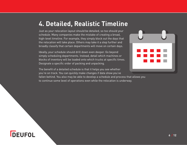#### **4. Detailed, Realistic Timeline**

Just as your relocation layout should be detailed, so too should your schedule. Many companies make the mistake of creating a broad, high-level timeline. For example, they simply block out the days that the relocation will take place. Others may take it a step further and broadly classify that certain departments will move on certain days.

Ideally, your schedule should drill down even deeper. Go beyond simply scheduling departments. Instead, detail which machines or blocks of inventory will be loaded onto which trucks at specific times. Designate a specific order of packing and unpacking.

The benefit of a detailed schedule is that it helps you see whether you're on track. You can quickly make changes if data show you've

fallen behind. You also may be able to develop a schedule and process that allows you to continue some level of operations even while the relocation is underway.



## **DEUFOL**

**6 / 12**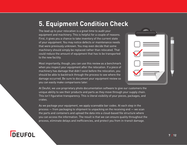#### **5. Equipment Condition Check**

The lead up to your relocation is a great time to audit your equipment and machinery. This is helpful for a couple of reasons. First, it gives you a chance to take inventory of the current state of your equipment. You may notice defects or maintenance needs that were previously unknown. You may even decide that some machinery should simply be replaced rather than relocated. That could reduce the amount of equipment that has to be transported to the new facility.

Most importantly, though, you can use this review as a benchmark when you inspect your equipment after the relocation. If a piece of machinery has damage that didn't exist before the relocation, you should be able to backtrack through the process to see where the damage occurred. Be sure to document your equipment review so you can easily make comparisons later.



At Deufol, we use proprietary photo documentation software to give our customers the unique ability to see their products and parts as they move through your supply chain. This isn't figurative transparency. This is literal visibility of your pieces, packages, and crates.

As we package your equipment, we apply scannable bar codes. At each step in the process — from packaging to shipment to unpacking on the receiving end — we scan the parts and containers and upload the data into a cloud-based file structure where you can access the information. The result is that we can ensure quality throughout the process, eliminate delays and inefficiencies, and protect you from in-transit damage.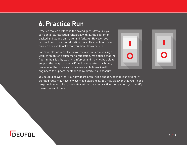#### **6. Practice Run**

Practice makes perfect as the saying goes. Obviously, you can't do a full relocation rehearsal with all the equipment packed and loaded on trucks and forklifts. However, you can walk and drive the relocation route. This could uncover hurdles and roadblocks that you didn't know existed.

For example, we recently uncovered a serious risk during a walk-through for a customer's relocation. We noticed that the floor in their facility wasn't reinforced and may not be able to support the weight of a forklift as it transported machinery. Because of that observation, we were able to work with engineers to support the floor and minimize risk exposure.



| $\blacksquare$ |  |
|----------------|--|
|                |  |
|                |  |

You could discover that your bay doors aren't wide enough, or that your originally planned route may have low overhead clearances. You may discover that you'll need large vehicle permits to navigate certain roads. A practice run can help you identify these risks and more.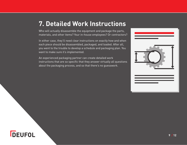#### **7. Detailed Work Instructions**

Who will actually disassemble the equipment and package the parts, materials, and other items? Your in-house employees? Or contractors?

In either case, they'll need clear instructions on exactly how and when each piece should be disassembled, packaged, and loaded. After all, you went to the trouble to develop a schedule and packaging plan. You want to make sure it's implemented.

An experienced packaging partner can create detailed work instructions that are so specific that they answer virtually all questions about the packaging process, and so that there's no guesswork.

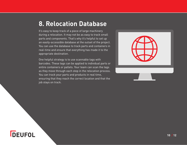#### **8. Relocation Database**

It's easy to keep track of a piece of large machinery during a relocation. It may not be as easy to track small parts and components. That's why it's helpful to set up an easily-accessible database at the outset of the project. You can use the database to track parts and containers in real-time and ensure that everything has made it to the appropriate destination.

One helpful strategy is to use scannable tags with barcodes. These tags can be applied to individual parts or entire containers or pallets. Your team can scan the tags as they move through each step in the relocation process. You can track your parts and products in real time, ensuring that they reach the correct location and that the job stays on track.

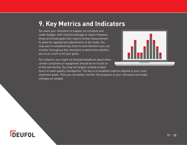#### **9. Key Metrics and Indicators**

You want your relocation to happen on schedule and under budget, with minimal damage or injury. However, those are broad goals that require timely measurement to allow for appropriate adjustments to be made. You may want to establish key metrics and indicators you can monitor throughout the relocation to determine whether you're on-track to hit your goals.

For instance, you might set detailed deadlines about when certain containers or equipment should be on trucks or at the new facility. You may set targets related to labor



hours or even quality checkpoints. The key is to establish metrics aligned to your most important goals. Then you can better monitor the progress of your relocation and make changes as needed.